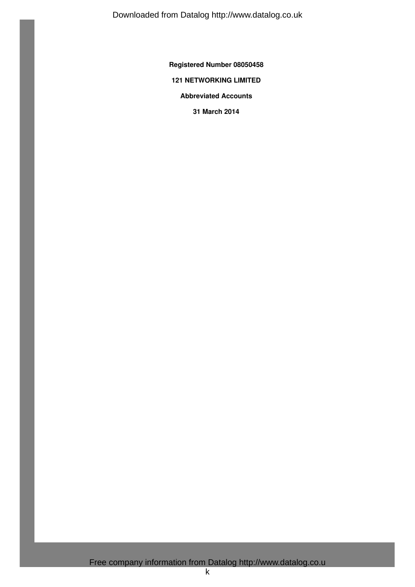Downloaded from Datalog http://www.datalog.co.uk

**Registered Number 08050458**

# **121 NETWORKING LIMITED**

**Abbreviated Accounts**

**31 March 2014**

Free company information from Datalog http://www.datalog.co.u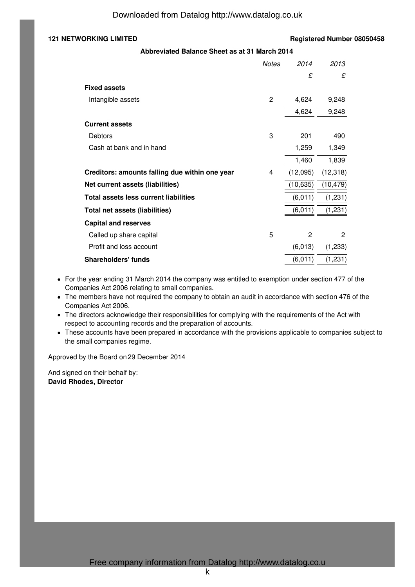# **121 NETWORKING LIMITED Registered Number 08050458**

**Abbreviated Balance Sheet as at 31 March 2014**

|                                                | <b>Notes</b>   | 2014      | 2013         |
|------------------------------------------------|----------------|-----------|--------------|
|                                                |                | £         | £            |
| <b>Fixed assets</b>                            |                |           |              |
| Intangible assets                              | $\overline{2}$ | 4,624     | 9,248        |
|                                                |                | 4,624     | 9,248        |
| <b>Current assets</b>                          |                |           |              |
| Debtors                                        | 3              | 201       | 490          |
| Cash at bank and in hand                       |                | 1,259     | 1,349        |
|                                                |                | 1,460     | 1,839        |
| Creditors: amounts falling due within one year | 4              | (12,095)  | (12, 318)    |
| Net current assets (liabilities)               |                | (10, 635) | (10, 479)    |
| Total assets less current liabilities          |                | (6,011)   | (1,231)      |
| Total net assets (liabilities)                 |                | (6,011)   | (1, 231)     |
| <b>Capital and reserves</b>                    |                |           |              |
| Called up share capital                        | 5              | 2         | $\mathbf{2}$ |
| Profit and loss account                        |                | (6,013)   | (1,233)      |
| <b>Shareholders' funds</b>                     |                | (6,011)   | (1,231)      |

- For the year ending 31 March 2014 the company was entitled to exemption under section 477 of the Companies Act 2006 relating to small companies.
- The members have not required the company to obtain an audit in accordance with section 476 of the Companies Act 2006.
- The directors acknowledge their responsibilities for complying with the requirements of the Act with respect to accounting records and the preparation of accounts.
- These accounts have been prepared in accordance with the provisions applicable to companies subject to the small companies regime.

Approved by the Board on 29 December 2014

And signed on their behalf by: **David Rhodes, Director**